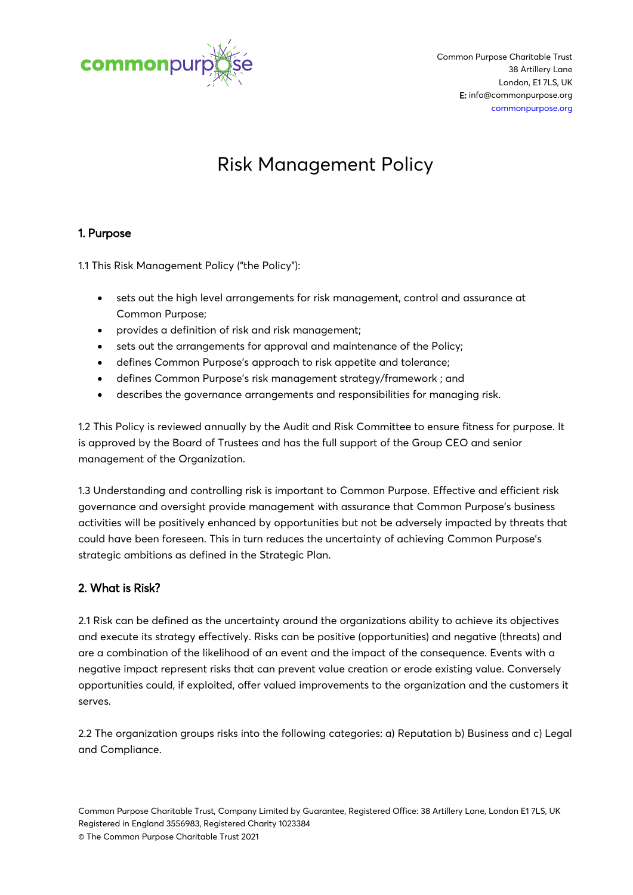

# Risk Management Policy

# 1. Purpose

1.1 This Risk Management Policy ("the Policy"):

- sets out the high level arrangements for risk management, control and assurance at Common Purpose;
- provides a definition of risk and risk management;
- sets out the arrangements for approval and maintenance of the Policy;
- defines Common Purpose's approach to risk appetite and tolerance;
- defines Common Purpose's risk management strategy/framework ; and
- describes the governance arrangements and responsibilities for managing risk.

1.2 This Policy is reviewed annually by the Audit and Risk Committee to ensure fitness for purpose. It is approved by the Board of Trustees and has the full support of the Group CEO and senior management of the Organization.

1.3 Understanding and controlling risk is important to Common Purpose. Effective and efficient risk governance and oversight provide management with assurance that Common Purpose's business activities will be positively enhanced by opportunities but not be adversely impacted by threats that could have been foreseen. This in turn reduces the uncertainty of achieving Common Purpose's strategic ambitions as defined in the Strategic Plan.

# 2. What is Risk?

2.1 Risk can be defined as the uncertainty around the organizations ability to achieve its objectives and execute its strategy effectively. Risks can be positive (opportunities) and negative (threats) and are a combination of the likelihood of an event and the impact of the consequence. Events with a negative impact represent risks that can prevent value creation or erode existing value. Conversely opportunities could, if exploited, offer valued improvements to the organization and the customers it serves.

2.2 The organization groups risks into the following categories: a) Reputation b) Business and c) Legal and Compliance.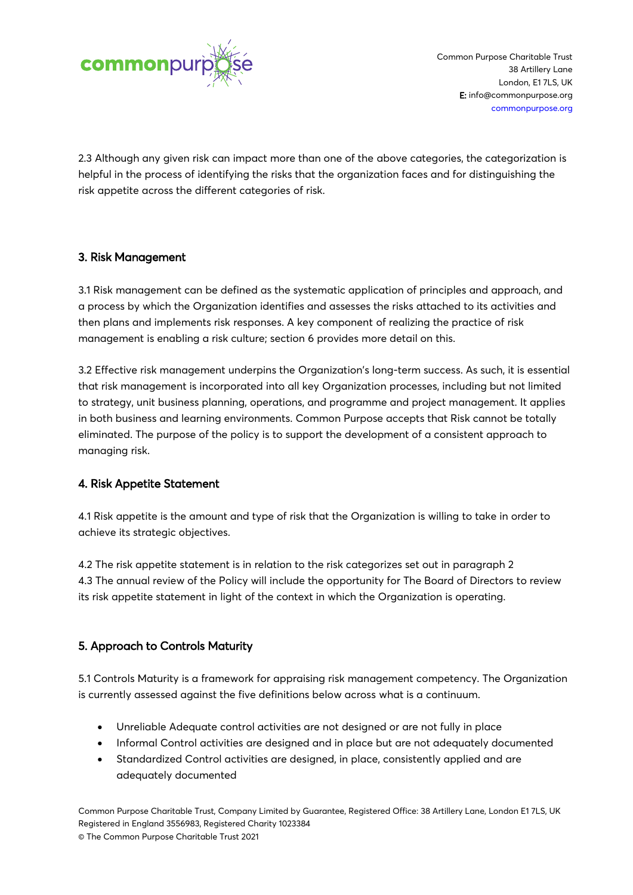

2.3 Although any given risk can impact more than one of the above categories, the categorization is helpful in the process of identifying the risks that the organization faces and for distinguishing the risk appetite across the different categories of risk.

# 3. Risk Management

3.1 Risk management can be defined as the systematic application of principles and approach, and a process by which the Organization identifies and assesses the risks attached to its activities and then plans and implements risk responses. A key component of realizing the practice of risk management is enabling a risk culture; section 6 provides more detail on this.

3.2 Effective risk management underpins the Organization's long-term success. As such, it is essential that risk management is incorporated into all key Organization processes, including but not limited to strategy, unit business planning, operations, and programme and project management. It applies in both business and learning environments. Common Purpose accepts that Risk cannot be totally eliminated. The purpose of the policy is to support the development of a consistent approach to managing risk.

## 4. Risk Appetite Statement

4.1 Risk appetite is the amount and type of risk that the Organization is willing to take in order to achieve its strategic objectives.

4.2 The risk appetite statement is in relation to the risk categorizes set out in paragraph 2 4.3 The annual review of the Policy will include the opportunity for The Board of Directors to review its risk appetite statement in light of the context in which the Organization is operating.

# 5. Approach to Controls Maturity

5.1 Controls Maturity is a framework for appraising risk management competency. The Organization is currently assessed against the five definitions below across what is a continuum.

- Unreliable Adequate control activities are not designed or are not fully in place
- Informal Control activities are designed and in place but are not adequately documented
- Standardized Control activities are designed, in place, consistently applied and are adequately documented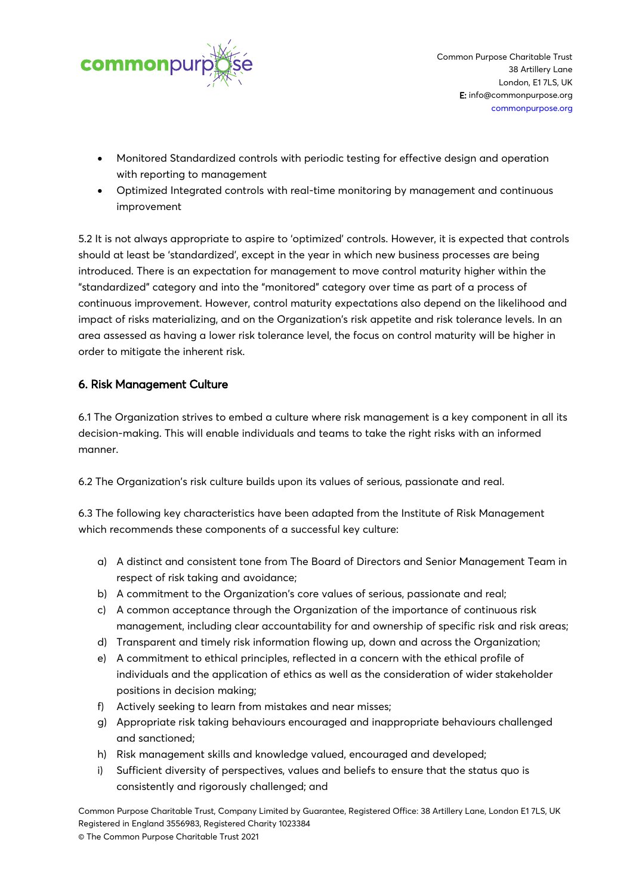

- Monitored Standardized controls with periodic testing for effective design and operation with reporting to management
- Optimized Integrated controls with real-time monitoring by management and continuous improvement

5.2 It is not always appropriate to aspire to 'optimized' controls. However, it is expected that controls should at least be 'standardized', except in the year in which new business processes are being introduced. There is an expectation for management to move control maturity higher within the "standardized" category and into the "monitored" category over time as part of a process of continuous improvement. However, control maturity expectations also depend on the likelihood and impact of risks materializing, and on the Organization's risk appetite and risk tolerance levels. In an area assessed as having a lower risk tolerance level, the focus on control maturity will be higher in order to mitigate the inherent risk.

# 6. Risk Management Culture

6.1 The Organization strives to embed a culture where risk management is a key component in all its decision-making. This will enable individuals and teams to take the right risks with an informed manner.

6.2 The Organization's risk culture builds upon its values of serious, passionate and real.

6.3 The following key characteristics have been adapted from the Institute of Risk Management which recommends these components of a successful key culture:

- a) A distinct and consistent tone from The Board of Directors and Senior Management Team in respect of risk taking and avoidance;
- b) A commitment to the Organization's core values of serious, passionate and real;
- c) A common acceptance through the Organization of the importance of continuous risk management, including clear accountability for and ownership of specific risk and risk areas;
- d) Transparent and timely risk information flowing up, down and across the Organization;
- e) A commitment to ethical principles, reflected in a concern with the ethical profile of individuals and the application of ethics as well as the consideration of wider stakeholder positions in decision making;
- f) Actively seeking to learn from mistakes and near misses;
- g) Appropriate risk taking behaviours encouraged and inappropriate behaviours challenged and sanctioned;
- h) Risk management skills and knowledge valued, encouraged and developed;
- i) Sufficient diversity of perspectives, values and beliefs to ensure that the status quo is consistently and rigorously challenged; and

Common Purpose Charitable Trust, Company Limited by Guarantee, Registered Office: 38 Artillery Lane, London E1 7LS, UK Registered in England 3556983, Registered Charity 1023384

© The Common Purpose Charitable Trust 2021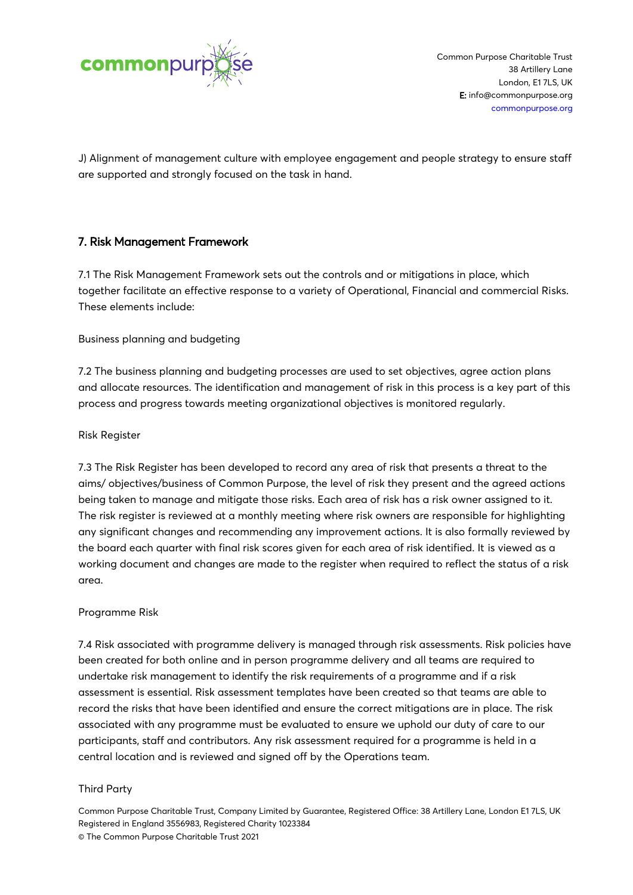

J) Alignment of management culture with employee engagement and people strategy to ensure staff are supported and strongly focused on the task in hand.

## 7. Risk Management Framework

7.1 The Risk Management Framework sets out the controls and or mitigations in place, which together facilitate an effective response to a variety of Operational, Financial and commercial Risks. These elements include:

Business planning and budgeting

7.2 The business planning and budgeting processes are used to set objectives, agree action plans and allocate resources. The identification and management of risk in this process is a key part of this process and progress towards meeting organizational objectives is monitored regularly.

## Risk Register

7.3 The Risk Register has been developed to record any area of risk that presents a threat to the aims/ objectives/business of Common Purpose, the level of risk they present and the agreed actions being taken to manage and mitigate those risks. Each area of risk has a risk owner assigned to it. The risk register is reviewed at a monthly meeting where risk owners are responsible for highlighting any significant changes and recommending any improvement actions. It is also formally reviewed by the board each quarter with final risk scores given for each area of risk identified. It is viewed as a working document and changes are made to the register when required to reflect the status of a risk area.

#### Programme Risk

7.4 Risk associated with programme delivery is managed through risk assessments. Risk policies have been created for both online and in person programme delivery and all teams are required to undertake risk management to identify the risk requirements of a programme and if a risk assessment is essential. Risk assessment templates have been created so that teams are able to record the risks that have been identified and ensure the correct mitigations are in place. The risk associated with any programme must be evaluated to ensure we uphold our duty of care to our participants, staff and contributors. Any risk assessment required for a programme is held in a central location and is reviewed and signed off by the Operations team.

#### Third Party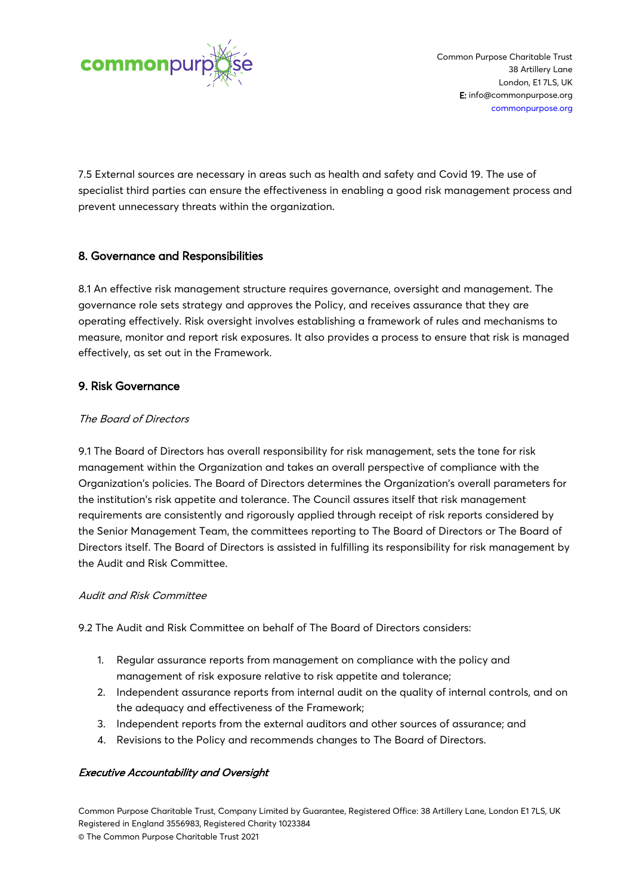

7.5 External sources are necessary in areas such as health and safety and Covid 19. The use of specialist third parties can ensure the effectiveness in enabling a good risk management process and prevent unnecessary threats within the organization.

# 8. Governance and Responsibilities

8.1 An effective risk management structure requires governance, oversight and management. The governance role sets strategy and approves the Policy, and receives assurance that they are operating effectively. Risk oversight involves establishing a framework of rules and mechanisms to measure, monitor and report risk exposures. It also provides a process to ensure that risk is managed effectively, as set out in the Framework.

## 9. Risk Governance

## The Board of Directors

9.1 The Board of Directors has overall responsibility for risk management, sets the tone for risk management within the Organization and takes an overall perspective of compliance with the Organization's policies. The Board of Directors determines the Organization's overall parameters for the institution's risk appetite and tolerance. The Council assures itself that risk management requirements are consistently and rigorously applied through receipt of risk reports considered by the Senior Management Team, the committees reporting to The Board of Directors or The Board of Directors itself. The Board of Directors is assisted in fulfilling its responsibility for risk management by the Audit and Risk Committee.

## Audit and Risk Committee

9.2 The Audit and Risk Committee on behalf of The Board of Directors considers:

- 1. Regular assurance reports from management on compliance with the policy and management of risk exposure relative to risk appetite and tolerance;
- 2. Independent assurance reports from internal audit on the quality of internal controls, and on the adequacy and effectiveness of the Framework;
- 3. Independent reports from the external auditors and other sources of assurance; and
- 4. Revisions to the Policy and recommends changes to The Board of Directors.

## Executive Accountability and Oversight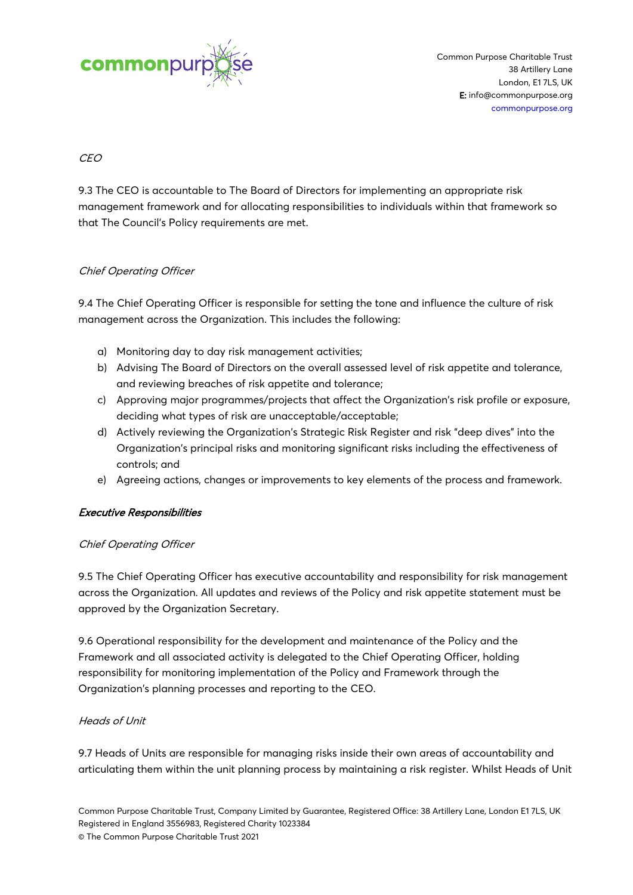

## CEO

9.3 The CEO is accountable to The Board of Directors for implementing an appropriate risk management framework and for allocating responsibilities to individuals within that framework so that The Council's Policy requirements are met.

## Chief Operating Officer

9.4 The Chief Operating Officer is responsible for setting the tone and influence the culture of risk management across the Organization. This includes the following:

- a) Monitoring day to day risk management activities;
- b) Advising The Board of Directors on the overall assessed level of risk appetite and tolerance, and reviewing breaches of risk appetite and tolerance;
- c) Approving major programmes/projects that affect the Organization's risk profile or exposure, deciding what types of risk are unacceptable/acceptable;
- d) Actively reviewing the Organization's Strategic Risk Register and risk "deep dives" into the Organization's principal risks and monitoring significant risks including the effectiveness of controls; and
- e) Agreeing actions, changes or improvements to key elements of the process and framework.

#### Executive Responsibilities

## Chief Operating Officer

9.5 The Chief Operating Officer has executive accountability and responsibility for risk management across the Organization. All updates and reviews of the Policy and risk appetite statement must be approved by the Organization Secretary.

9.6 Operational responsibility for the development and maintenance of the Policy and the Framework and all associated activity is delegated to the Chief Operating Officer, holding responsibility for monitoring implementation of the Policy and Framework through the Organization's planning processes and reporting to the CEO.

#### Heads of Unit

9.7 Heads of Units are responsible for managing risks inside their own areas of accountability and articulating them within the unit planning process by maintaining a risk register. Whilst Heads of Unit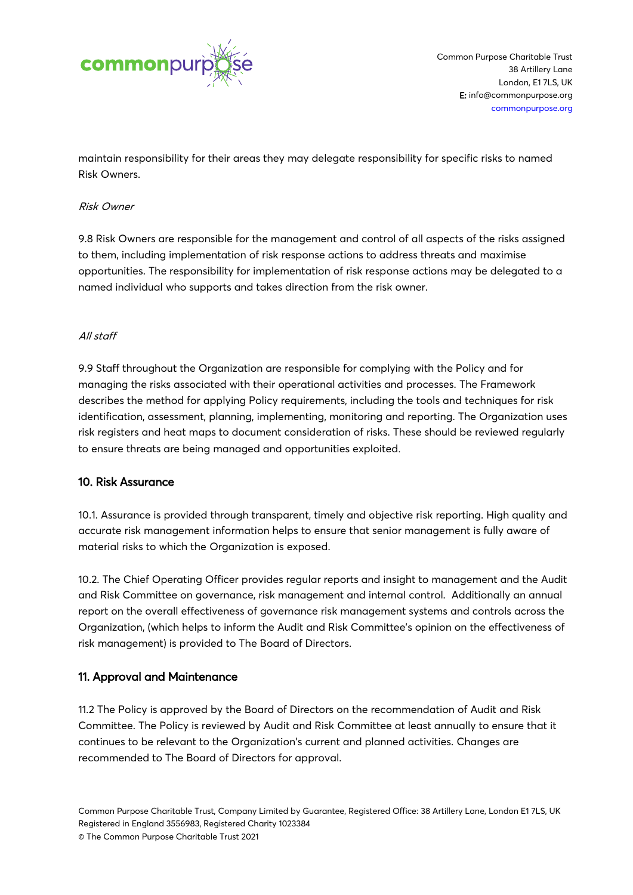

maintain responsibility for their areas they may delegate responsibility for specific risks to named Risk Owners.

#### Risk Owner

9.8 Risk Owners are responsible for the management and control of all aspects of the risks assigned to them, including implementation of risk response actions to address threats and maximise opportunities. The responsibility for implementation of risk response actions may be delegated to a named individual who supports and takes direction from the risk owner.

#### All staff

9.9 Staff throughout the Organization are responsible for complying with the Policy and for managing the risks associated with their operational activities and processes. The Framework describes the method for applying Policy requirements, including the tools and techniques for risk identification, assessment, planning, implementing, monitoring and reporting. The Organization uses risk registers and heat maps to document consideration of risks. These should be reviewed regularly to ensure threats are being managed and opportunities exploited.

#### 10. Risk Assurance

10.1. Assurance is provided through transparent, timely and objective risk reporting. High quality and accurate risk management information helps to ensure that senior management is fully aware of material risks to which the Organization is exposed.

10.2. The Chief Operating Officer provides regular reports and insight to management and the Audit and Risk Committee on governance, risk management and internal control. Additionally an annual report on the overall effectiveness of governance risk management systems and controls across the Organization, (which helps to inform the Audit and Risk Committee's opinion on the effectiveness of risk management) is provided to The Board of Directors.

#### 11. Approval and Maintenance

11.2 The Policy is approved by the Board of Directors on the recommendation of Audit and Risk Committee. The Policy is reviewed by Audit and Risk Committee at least annually to ensure that it continues to be relevant to the Organization's current and planned activities. Changes are recommended to The Board of Directors for approval.